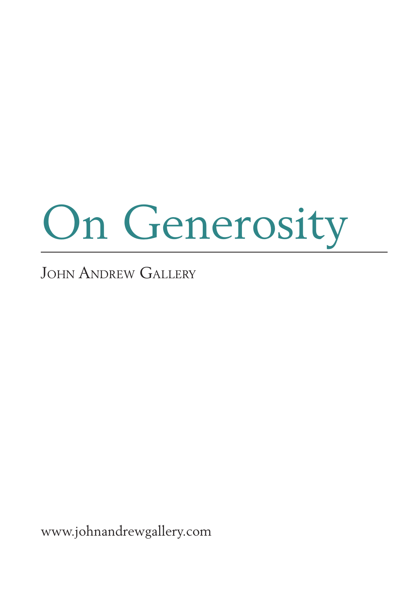JOHN ANDREW GALLERY

www.johnandrewgallery.com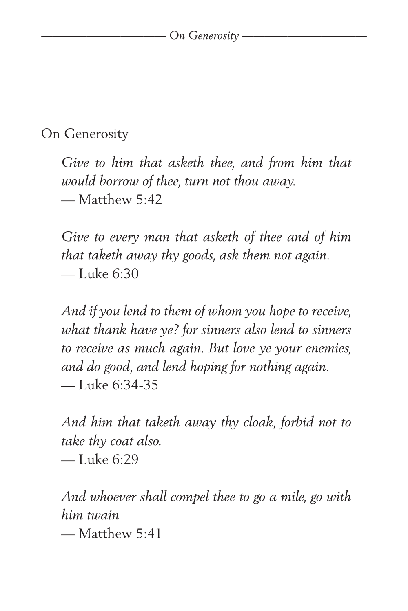*Give to him that asketh thee, and from him that would borrow of thee, turn not thou away.* — Matthew 5:42

*Give to every man that asketh of thee and of him that taketh away thy goods, ask them not again.*  — Luke 6:30

*And if you lend to them of whom you hope to receive, what thank have ye? for sinners also lend to sinners to receive as much again. But love ye your enemies, and do good, and lend hoping for nothing again.* — Luke 6:34-35

*And him that taketh away thy cloak, forbid not to take thy coat also.* — Luke 6:29

*And whoever shall compel thee to go a mile, go with him twain* — Matthew 5:41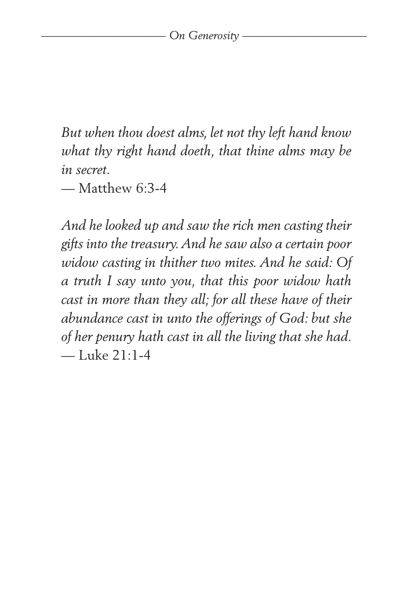*But when thou doest alms, let not thy left hand know what thy right hand doeth, that thine alms may be in secret.* — Matthew 6:3-4

*And he looked up and saw the rich men casting their gifts into the treasury. And he saw also a certain poor widow casting in thither two mites. And he said: Of a truth I say unto you, that this poor widow hath cast in more than they all; for all these have of their abundance cast in unto the offerings of God: but she of her penury hath cast in all the living that she had.* — Luke 21:1-4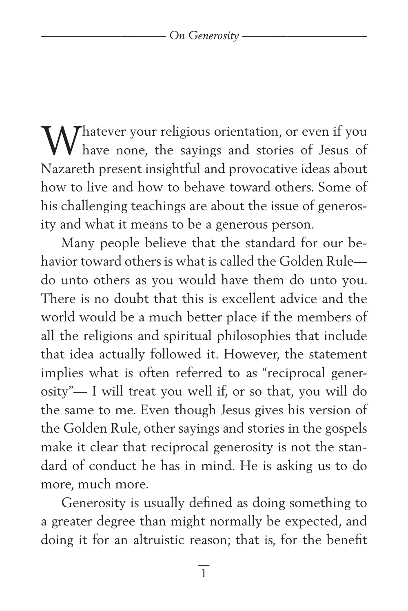**A** *T* hatever your religious orientation, or even if you have none, the sayings and stories of Jesus of Nazareth present insightful and provocative ideas about how to live and how to behave toward others. Some of his challenging teachings are about the issue of generosity and what it means to be a generous person.

Many people believe that the standard for our behavior toward others is what is called the Golden Rule do unto others as you would have them do unto you. There is no doubt that this is excellent advice and the world would be a much better place if the members of all the religions and spiritual philosophies that include that idea actually followed it. However, the statement implies what is often referred to as "reciprocal generosity"— I will treat you well if, or so that, you will do the same to me. Even though Jesus gives his version of the Golden Rule, other sayings and stories in the gospels make it clear that reciprocal generosity is not the standard of conduct he has in mind. He is asking us to do more, much more.

Generosity is usually defined as doing something to a greater degree than might normally be expected, and doing it for an altruistic reason; that is, for the benefit

 $\frac{1}{1}$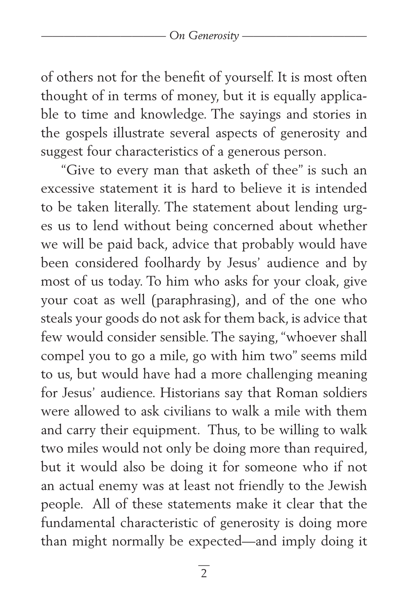of others not for the benefit of yourself. It is most often thought of in terms of money, but it is equally applicable to time and knowledge. The sayings and stories in the gospels illustrate several aspects of generosity and suggest four characteristics of a generous person.

"Give to every man that asketh of thee" is such an excessive statement it is hard to believe it is intended to be taken literally. The statement about lending urges us to lend without being concerned about whether we will be paid back, advice that probably would have been considered foolhardy by Jesus' audience and by most of us today. To him who asks for your cloak, give your coat as well (paraphrasing), and of the one who steals your goods do not ask for them back, is advice that few would consider sensible. The saying, "whoever shall compel you to go a mile, go with him two" seems mild to us, but would have had a more challenging meaning for Jesus' audience. Historians say that Roman soldiers were allowed to ask civilians to walk a mile with them and carry their equipment. Thus, to be willing to walk two miles would not only be doing more than required, but it would also be doing it for someone who if not an actual enemy was at least not friendly to the Jewish people. All of these statements make it clear that the fundamental characteristic of generosity is doing more than might normally be expected—and imply doing it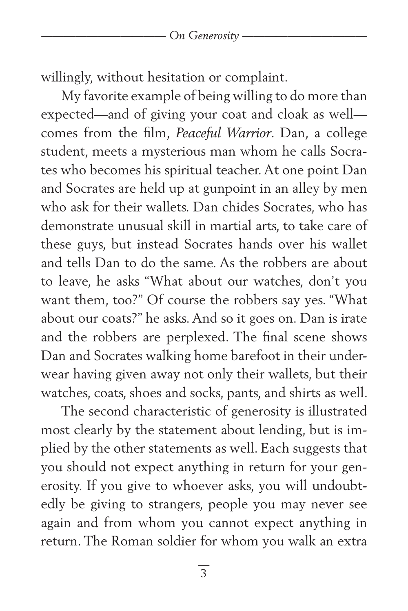willingly, without hesitation or complaint.

My favorite example of being willing to do more than expected—and of giving your coat and cloak as well comes from the film, *Peaceful Warrior*. Dan, a college student, meets a mysterious man whom he calls Socrates who becomes his spiritual teacher. At one point Dan and Socrates are held up at gunpoint in an alley by men who ask for their wallets. Dan chides Socrates, who has demonstrate unusual skill in martial arts, to take care of these guys, but instead Socrates hands over his wallet and tells Dan to do the same. As the robbers are about to leave, he asks "What about our watches, don't you want them, too?" Of course the robbers say yes. "What about our coats?" he asks. And so it goes on. Dan is irate and the robbers are perplexed. The final scene shows Dan and Socrates walking home barefoot in their underwear having given away not only their wallets, but their watches, coats, shoes and socks, pants, and shirts as well.

The second characteristic of generosity is illustrated most clearly by the statement about lending, but is implied by the other statements as well. Each suggests that you should not expect anything in return for your generosity. If you give to whoever asks, you will undoubtedly be giving to strangers, people you may never see again and from whom you cannot expect anything in return. The Roman soldier for whom you walk an extra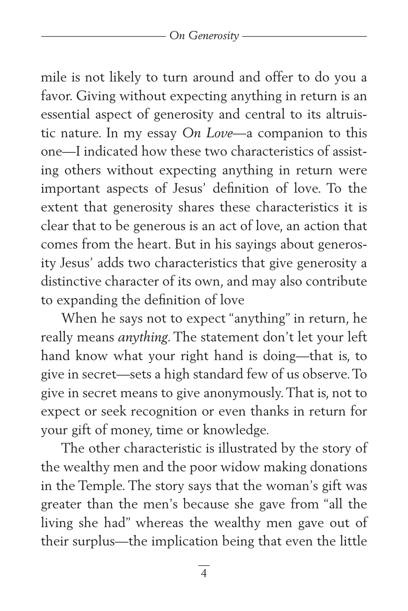mile is not likely to turn around and offer to do you a favor. Giving without expecting anything in return is an essential aspect of generosity and central to its altruistic nature. In my essay *On Love*—a companion to this one—I indicated how these two characteristics of assisting others without expecting anything in return were important aspects of Jesus' definition of love. To the extent that generosity shares these characteristics it is clear that to be generous is an act of love, an action that comes from the heart. But in his sayings about generosity Jesus' adds two characteristics that give generosity a distinctive character of its own, and may also contribute to expanding the definition of love

When he says not to expect "anything" in return, he really means *anything*. The statement don't let your left hand know what your right hand is doing—that is, to give in secret—sets a high standard few of us observe. To give in secret means to give anonymously. That is, not to expect or seek recognition or even thanks in return for your gift of money, time or knowledge.

The other characteristic is illustrated by the story of the wealthy men and the poor widow making donations in the Temple. The story says that the woman's gift was greater than the men's because she gave from "all the living she had" whereas the wealthy men gave out of their surplus—the implication being that even the little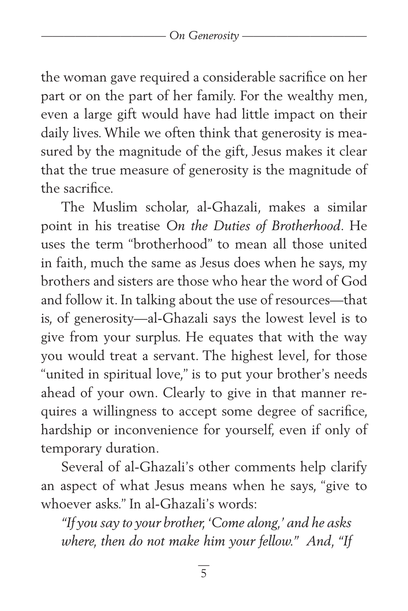the woman gave required a considerable sacrifice on her part or on the part of her family. For the wealthy men, even a large gift would have had little impact on their daily lives. While we often think that generosity is measured by the magnitude of the gift, Jesus makes it clear that the true measure of generosity is the magnitude of the sacrifice.

The Muslim scholar, al-Ghazali, makes a similar point in his treatise *On the Duties of Brotherhood*. He uses the term "brotherhood" to mean all those united in faith, much the same as Jesus does when he says, my brothers and sisters are those who hear the word of God and follow it. In talking about the use of resources—that is, of generosity—al-Ghazali says the lowest level is to give from your surplus. He equates that with the way you would treat a servant. The highest level, for those "united in spiritual love," is to put your brother's needs ahead of your own. Clearly to give in that manner requires a willingness to accept some degree of sacrifice, hardship or inconvenience for yourself, even if only of temporary duration.

Several of al-Ghazali's other comments help clarify an aspect of what Jesus means when he says, "give to whoever asks." In al-Ghazali's words:

*"If you say to your brother, 'Come along,' and he asks where, then do not make him your fellow." And, "If*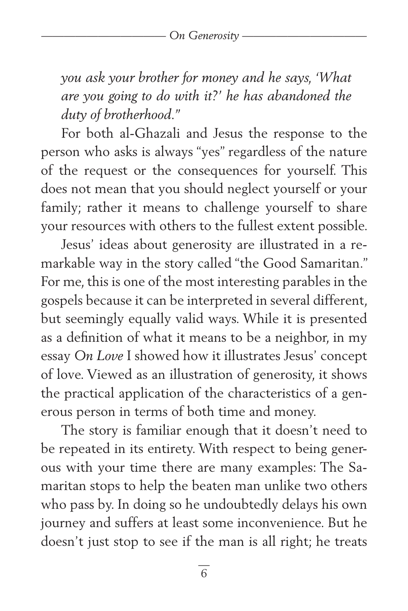*you ask your brother for money and he says, 'What are you going to do with it?' he has abandoned the duty of brotherhood."*

For both al-Ghazali and Jesus the response to the person who asks is always "yes" regardless of the nature of the request or the consequences for yourself. This does not mean that you should neglect yourself or your family; rather it means to challenge yourself to share your resources with others to the fullest extent possible.

Jesus' ideas about generosity are illustrated in a remarkable way in the story called "the Good Samaritan." For me, this is one of the most interesting parables in the gospels because it can be interpreted in several different, but seemingly equally valid ways. While it is presented as a definition of what it means to be a neighbor, in my essay *On Love* I showed how it illustrates Jesus' concept of love. Viewed as an illustration of generosity, it shows the practical application of the characteristics of a generous person in terms of both time and money.

The story is familiar enough that it doesn't need to be repeated in its entirety. With respect to being generous with your time there are many examples: The Samaritan stops to help the beaten man unlike two others who pass by. In doing so he undoubtedly delays his own journey and suffers at least some inconvenience. But he doesn't just stop to see if the man is all right; he treats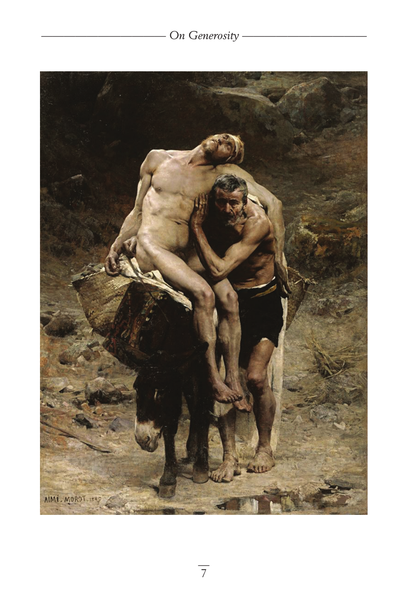## $On \ Genersity -$

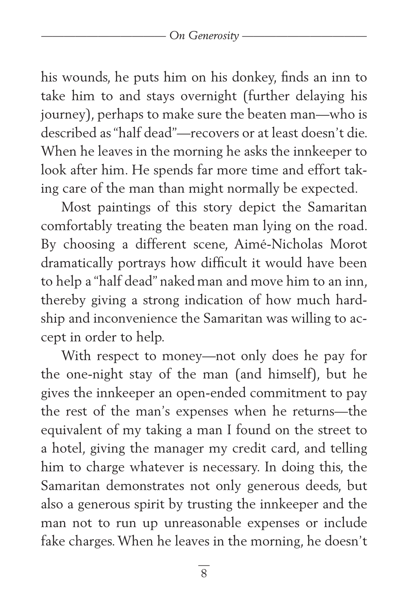his wounds, he puts him on his donkey, finds an inn to take him to and stays overnight (further delaying his journey), perhaps to make sure the beaten man—who is described as "half dead"—recovers or at least doesn't die. When he leaves in the morning he asks the innkeeper to look after him. He spends far more time and effort taking care of the man than might normally be expected.

Most paintings of this story depict the Samaritan comfortably treating the beaten man lying on the road. By choosing a different scene, Aimé-Nicholas Morot dramatically portrays how difficult it would have been to help a "half dead" naked man and move him to an inn, thereby giving a strong indication of how much hardship and inconvenience the Samaritan was willing to accept in order to help.

With respect to money—not only does he pay for the one-night stay of the man (and himself), but he gives the innkeeper an open-ended commitment to pay the rest of the man's expenses when he returns—the equivalent of my taking a man I found on the street to a hotel, giving the manager my credit card, and telling him to charge whatever is necessary. In doing this, the Samaritan demonstrates not only generous deeds, but also a generous spirit by trusting the innkeeper and the man not to run up unreasonable expenses or include fake charges. When he leaves in the morning, he doesn't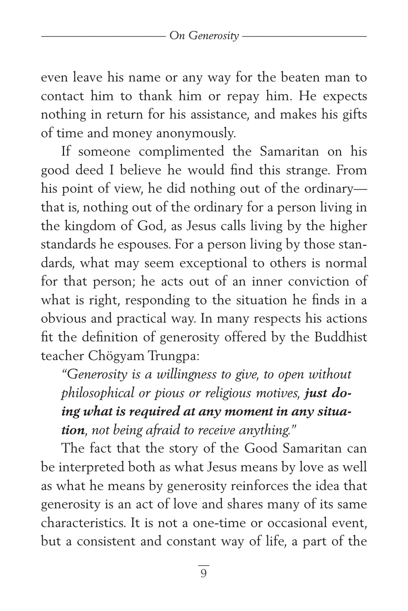even leave his name or any way for the beaten man to contact him to thank him or repay him. He expects nothing in return for his assistance, and makes his gifts of time and money anonymously.

If someone complimented the Samaritan on his good deed I believe he would find this strange. From his point of view, he did nothing out of the ordinary that is, nothing out of the ordinary for a person living in the kingdom of God, as Jesus calls living by the higher standards he espouses. For a person living by those standards, what may seem exceptional to others is normal for that person; he acts out of an inner conviction of what is right, responding to the situation he finds in a obvious and practical way. In many respects his actions fit the definition of generosity offered by the Buddhist teacher Chögyam Trungpa:

*"Generosity is a willingness to give, to open without philosophical or pious or religious motives, just doing what is required at any moment in any situation, not being afraid to receive anything."*

The fact that the story of the Good Samaritan can be interpreted both as what Jesus means by love as well as what he means by generosity reinforces the idea that generosity is an act of love and shares many of its same characteristics. It is not a one-time or occasional event, but a consistent and constant way of life, a part of the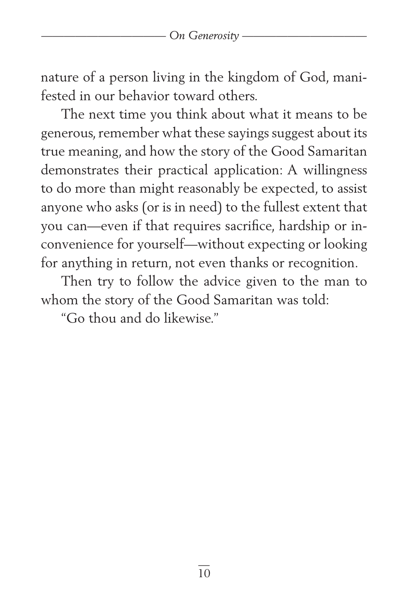nature of a person living in the kingdom of God, manifested in our behavior toward others.

The next time you think about what it means to be generous, remember what these sayings suggest about its true meaning, and how the story of the Good Samaritan demonstrates their practical application: A willingness to do more than might reasonably be expected, to assist anyone who asks (or is in need) to the fullest extent that you can—even if that requires sacrifice, hardship or inconvenience for yourself—without expecting or looking for anything in return, not even thanks or recognition.

Then try to follow the advice given to the man to whom the story of the Good Samaritan was told:

"Go thou and do likewise."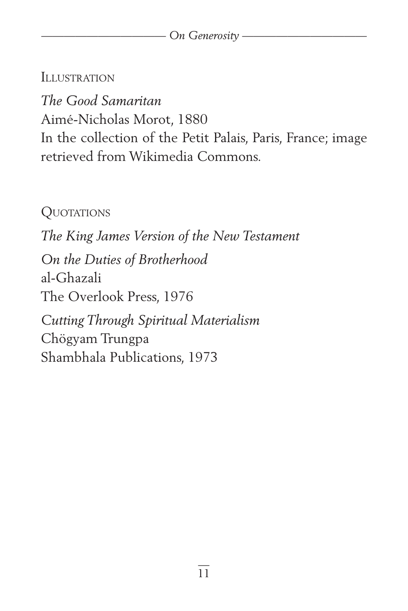ILLUSTRATION

*The Good Samaritan* Aimé-Nicholas Morot, 1880 In the collection of the Petit Palais, Paris, France; image retrieved from Wikimedia Commons.

**QUOTATIONS** 

*The King James Version of the New Testament On the Duties of Brotherhood* al-Ghazali The Overlook Press, 1976 *Cutting Through Spiritual Materialism* Chögyam Trungpa Shambhala Publications, 1973